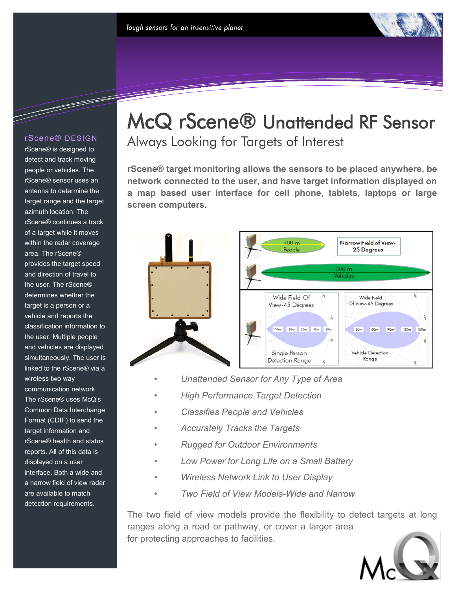

#### rScene® DESIGN

<u>da bahasa dalam kecamatan dalam kecamatan dalam kecamatan dalam kecamatan dalam kecamatan dalam kecamatan dala</u>

rScene® is designed to detect and track moving people or vehicles. The rScene® sensor uses an antenna to determine the target range and the target azimuth location. The rScene® continues a track of a target while it moves within the radar coverage area. The rScene® provides the target speed and direction of travel to the user. The rScene® determines whether the target is a person or a vehicle and reports the classification information to the user. Multiple people and vehicles are displayed simultaneously. The user is linked to the rScene® via a wireless two way communication network. The rScene® uses McQ's Common Data Interchange Format (CDIF) to send the target information and rScene® health and status reports. All of this data is displayed on a user interface. Both a wide and a narrow field of view radar are available to match detection requirements.

# McQ rScene® Unattended RF Sensor Always Looking for Targets of Interest

**rScene® target monitoring allows the sensors to be placed anywhere, be network connected to the user, and have target information displayed on a map based user interface for cell phone, tablets, laptops or large screen computers.**



- *Unattended Sensor for Any Type of Area*
- *High Performance Target Detection*
- *Classifies People and Vehicles*
- *Accurately Tracks the Targets*
- *Rugged for Outdoor Environments*
- *Low Power for Long Life on a Small Battery*
- *Wireless Network Link to User Display*
- *Two Field of View Models-Wide and Narrow*

The two field of view models provide the flexibility to detect targets at long ranges along a road or pathway, or cover a larger area for protecting approaches to facilities.